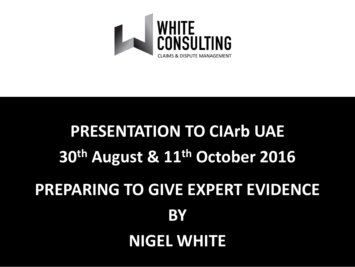

# **PRESENTATION TO CIArb UAE 30th August & 11th October 2016 PREPARING TO GIVE EXPERT EVIDENCE BY NIGEL WHITE**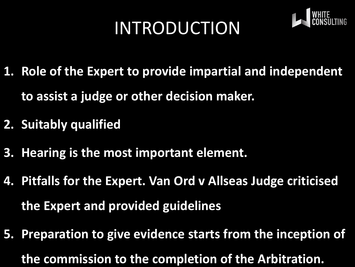# INTRODUCTION



- **1. Role of the Expert to provide impartial and independent to assist a judge or other decision maker.**
- **2. Suitably qualified**
- **3. Hearing is the most important element.**
- **4. Pitfalls for the Expert. Van Ord v Allseas Judge criticised the Expert and provided guidelines**
- **5. Preparation to give evidence starts from the inception of the commission to the completion of the Arbitration.**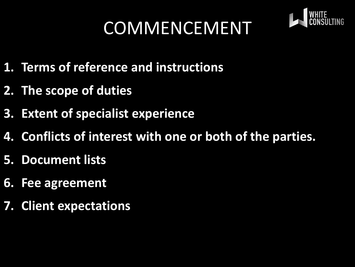# COMMENCEMENT



- **1. Terms of reference and instructions**
- **2. The scope of duties**
- **3. Extent of specialist experience**
- **4. Conflicts of interest with one or both of the parties.**
- **5. Document lists**
- **6. Fee agreement**
- **7. Client expectations**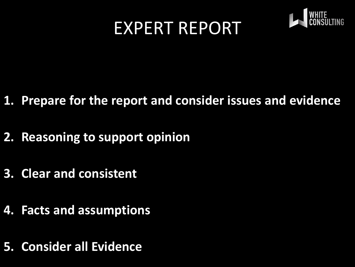#### EXPERT REPORT



- **1. Prepare for the report and consider issues and evidence**
- **2. Reasoning to support opinion**
- **3. Clear and consistent**
- **4. Facts and assumptions**
- **5. Consider all Evidence**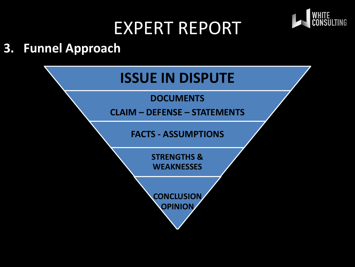#### EXPERT REPORT



#### **3. Funnel Approach**

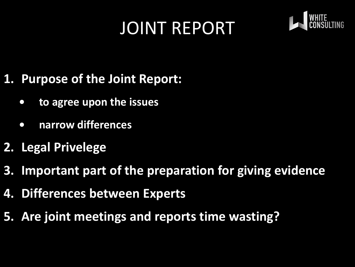### JOINT REPORT



- **1. Purpose of the Joint Report:**
	- **• to agree upon the issues**
	- **• narrow differences**
- **2. Legal Privelege**
- **3. Important part of the preparation for giving evidence**
- **4. Differences between Experts**
- **5. Are joint meetings and reports time wasting?**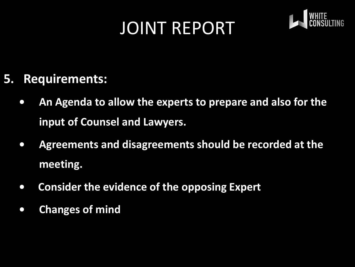#### JOINT REPORT



#### **5. Requirements:**

- **• An Agenda to allow the experts to prepare and also for the input of Counsel and Lawyers.**
- **• Agreements and disagreements should be recorded at the meeting.**
- **Consider the evidence of the opposing Expert**
- **• Changes of mind**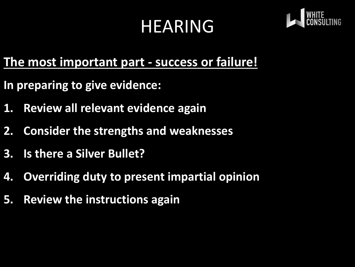## HEARING



#### **The most important part - success or failure!**

- **In preparing to give evidence:**
- **1. Review all relevant evidence again**
- **2. Consider the strengths and weaknesses**
- **3. Is there a Silver Bullet?**
- **4. Overriding duty to present impartial opinion**
- **5. Review the instructions again**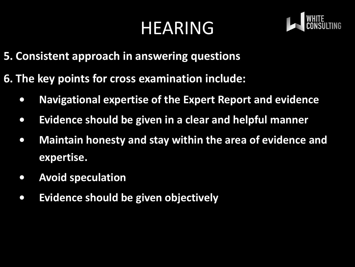### HEARING



- **5. Consistent approach in answering questions**
- **6. The key points for cross examination include:**
	- **• Navigational expertise of the Expert Report and evidence**
	- **• Evidence should be given in a clear and helpful manner**
	- **• Maintain honesty and stay within the area of evidence and expertise.**
	- **• Avoid speculation**
	- **• Evidence should be given objectively**